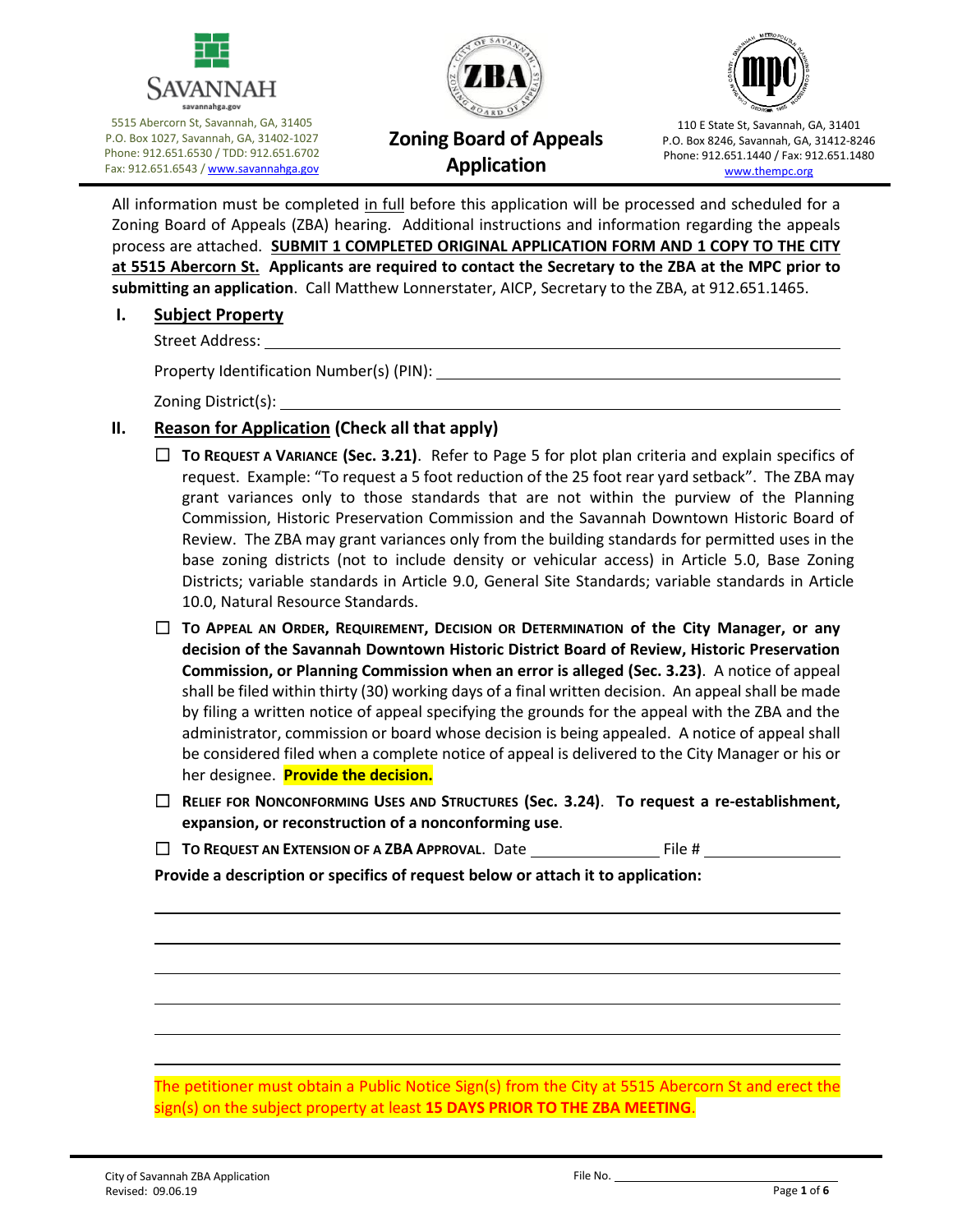

5515 Abercorn St, Savannah, GA, 31405 P.O. Box 1027, Savannah, GA, 31402-1027 Phone: 912.651.6530 / TDD: 912.651.6702 Fax: 912.651.6543 [/ www.savannahga.gov](http://www.savannahga.gov/)





# **Zoning Board of Appeals Application**

110 E State St, Savannah, GA, 31401 P.O. Box 8246, Savannah, GA, 31412-8246 Phone: 912.651.1440 / Fax: 912.651.1480 [www.thempc.org](http://www.thempc.org/)

All information must be completed in full before this application will be processed and scheduled for a Zoning Board of Appeals (ZBA) hearing. Additional instructions and information regarding the appeals process are attached. **SUBMIT 1 COMPLETED ORIGINAL APPLICATION FORM AND 1 COPY TO THE CITY at 5515 Abercorn St. Applicants are required to contact the Secretary to the ZBA at the MPC prior to submitting an application**. Call Matthew Lonnerstater, AICP, Secretary to the ZBA, at 912.651.1465.

### **I. Subject Property**

Street Address:

Property Identification Number(s) (PIN):

Zoning District(s):

## **II. Reason for Application (Check all that apply)**

- ☐ **TO REQUEST A VARIANCE (Sec. 3.21)**. Refer to Page 5 for plot plan criteria and explain specifics of request. Example: "To request a 5 foot reduction of the 25 foot rear yard setback". The ZBA may grant variances only to those standards that are not within the purview of the Planning Commission, Historic Preservation Commission and the Savannah Downtown Historic Board of Review. The ZBA may grant variances only from the building standards for permitted uses in the base zoning districts (not to include density or vehicular access) in Article 5.0, Base Zoning Districts; variable standards in Article 9.0, General Site Standards; variable standards in Article 10.0, Natural Resource Standards.
- ☐ **TO APPEAL AN ORDER, REQUIREMENT, DECISION OR DETERMINATION of the City Manager, or any decision of the Savannah Downtown Historic District Board of Review, Historic Preservation Commission, or Planning Commission when an error is alleged (Sec. 3.23)**. A notice of appeal shall be filed within thirty (30) working days of a final written decision. An appeal shall be made by filing a written notice of appeal specifying the grounds for the appeal with the ZBA and the administrator, commission or board whose decision is being appealed. A notice of appeal shall be considered filed when a complete notice of appeal is delivered to the City Manager or his or her designee. **Provide the decision.**
- ☐ **RELIEF FOR NONCONFORMING USES AND STRUCTURES (Sec. 3.24)**. **To request a re-establishment, expansion, or reconstruction of a nonconforming use**.
- □ **TO REQUEST AN EXTENSION OF A ZBA APPROVAL.** Date File # File #

**Provide a description or specifics of request below or attach it to application:**

The petitioner must obtain a Public Notice Sign(s) from the City at 5515 Abercorn St and erect the sign(s) on the subject property at least **15 DAYS PRIOR TO THE ZBA MEETING**.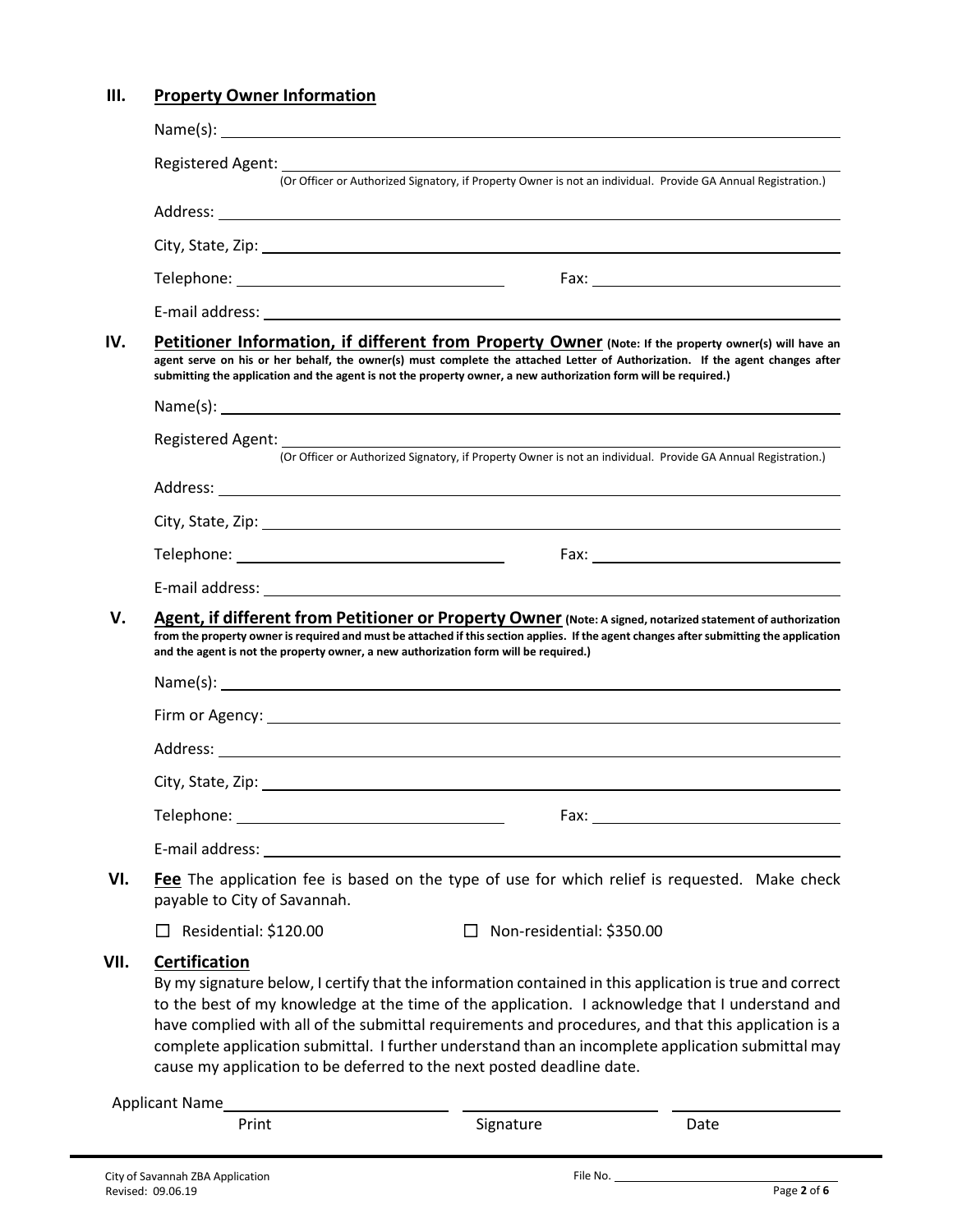## **III. Property Owner Information**

|      | Name(s): $\overline{\phantom{a}}$                                                                                                                                                                                                                                                                                                                                                                                                                                                                                       | <u> 1989 - Johann Stoff, Amerikaansk politiker († 1908)</u>                                                    |      |  |
|------|-------------------------------------------------------------------------------------------------------------------------------------------------------------------------------------------------------------------------------------------------------------------------------------------------------------------------------------------------------------------------------------------------------------------------------------------------------------------------------------------------------------------------|----------------------------------------------------------------------------------------------------------------|------|--|
|      |                                                                                                                                                                                                                                                                                                                                                                                                                                                                                                                         |                                                                                                                |      |  |
|      | (Or Officer or Authorized Signatory, if Property Owner is not an individual. Provide GA Annual Registration.)                                                                                                                                                                                                                                                                                                                                                                                                           |                                                                                                                |      |  |
|      |                                                                                                                                                                                                                                                                                                                                                                                                                                                                                                                         |                                                                                                                |      |  |
|      |                                                                                                                                                                                                                                                                                                                                                                                                                                                                                                                         |                                                                                                                |      |  |
|      |                                                                                                                                                                                                                                                                                                                                                                                                                                                                                                                         |                                                                                                                |      |  |
|      |                                                                                                                                                                                                                                                                                                                                                                                                                                                                                                                         |                                                                                                                |      |  |
| IV.  | Petitioner Information, if different from Property Owner (Note: If the property owner(s) will have an<br>agent serve on his or her behalf, the owner(s) must complete the attached Letter of Authorization. If the agent changes after<br>submitting the application and the agent is not the property owner, a new authorization form will be required.)                                                                                                                                                               |                                                                                                                |      |  |
|      |                                                                                                                                                                                                                                                                                                                                                                                                                                                                                                                         | Name(s): $\qquad \qquad$                                                                                       |      |  |
|      |                                                                                                                                                                                                                                                                                                                                                                                                                                                                                                                         |                                                                                                                |      |  |
|      |                                                                                                                                                                                                                                                                                                                                                                                                                                                                                                                         | (Or Officer or Authorized Signatory, if Property Owner is not an individual. Provide GA Annual Registration.)  |      |  |
|      |                                                                                                                                                                                                                                                                                                                                                                                                                                                                                                                         |                                                                                                                |      |  |
|      |                                                                                                                                                                                                                                                                                                                                                                                                                                                                                                                         |                                                                                                                |      |  |
|      |                                                                                                                                                                                                                                                                                                                                                                                                                                                                                                                         |                                                                                                                |      |  |
|      |                                                                                                                                                                                                                                                                                                                                                                                                                                                                                                                         |                                                                                                                |      |  |
| V.   | Agent, if different from Petitioner or Property Owner (Note: A signed, notarized statement of authorization<br>from the property owner is required and must be attached if this section applies. If the agent changes after submitting the application<br>and the agent is not the property owner, a new authorization form will be required.)                                                                                                                                                                          |                                                                                                                |      |  |
|      |                                                                                                                                                                                                                                                                                                                                                                                                                                                                                                                         |                                                                                                                |      |  |
|      |                                                                                                                                                                                                                                                                                                                                                                                                                                                                                                                         |                                                                                                                |      |  |
|      |                                                                                                                                                                                                                                                                                                                                                                                                                                                                                                                         |                                                                                                                |      |  |
|      |                                                                                                                                                                                                                                                                                                                                                                                                                                                                                                                         | City, State, Zip: 1978. 2014. 2015. 2016. 2017. 2018. 2019. 2017. 2018. 2019. 2014. 2016. 2017. 2018. 2019. 20 |      |  |
|      | Telephone:                                                                                                                                                                                                                                                                                                                                                                                                                                                                                                              | Fax:                                                                                                           |      |  |
|      | E-mail address: Universe and Separate and Separate and Separate and Separate and Separate and Separate and Separate and Separate and Separate and Separate and Separate and Separate and Separate and Separate and Separate an                                                                                                                                                                                                                                                                                          |                                                                                                                |      |  |
| VI.  | Fee The application fee is based on the type of use for which relief is requested. Make check<br>payable to City of Savannah.                                                                                                                                                                                                                                                                                                                                                                                           |                                                                                                                |      |  |
|      | Residential: \$120.00                                                                                                                                                                                                                                                                                                                                                                                                                                                                                                   | Non-residential: \$350.00                                                                                      |      |  |
| VII. | <b>Certification</b><br>By my signature below, I certify that the information contained in this application is true and correct<br>to the best of my knowledge at the time of the application. I acknowledge that I understand and<br>have complied with all of the submittal requirements and procedures, and that this application is a<br>complete application submittal. I further understand than an incomplete application submittal may<br>cause my application to be deferred to the next posted deadline date. |                                                                                                                |      |  |
|      |                                                                                                                                                                                                                                                                                                                                                                                                                                                                                                                         |                                                                                                                |      |  |
|      | Print                                                                                                                                                                                                                                                                                                                                                                                                                                                                                                                   | Signature                                                                                                      | Date |  |
|      |                                                                                                                                                                                                                                                                                                                                                                                                                                                                                                                         |                                                                                                                |      |  |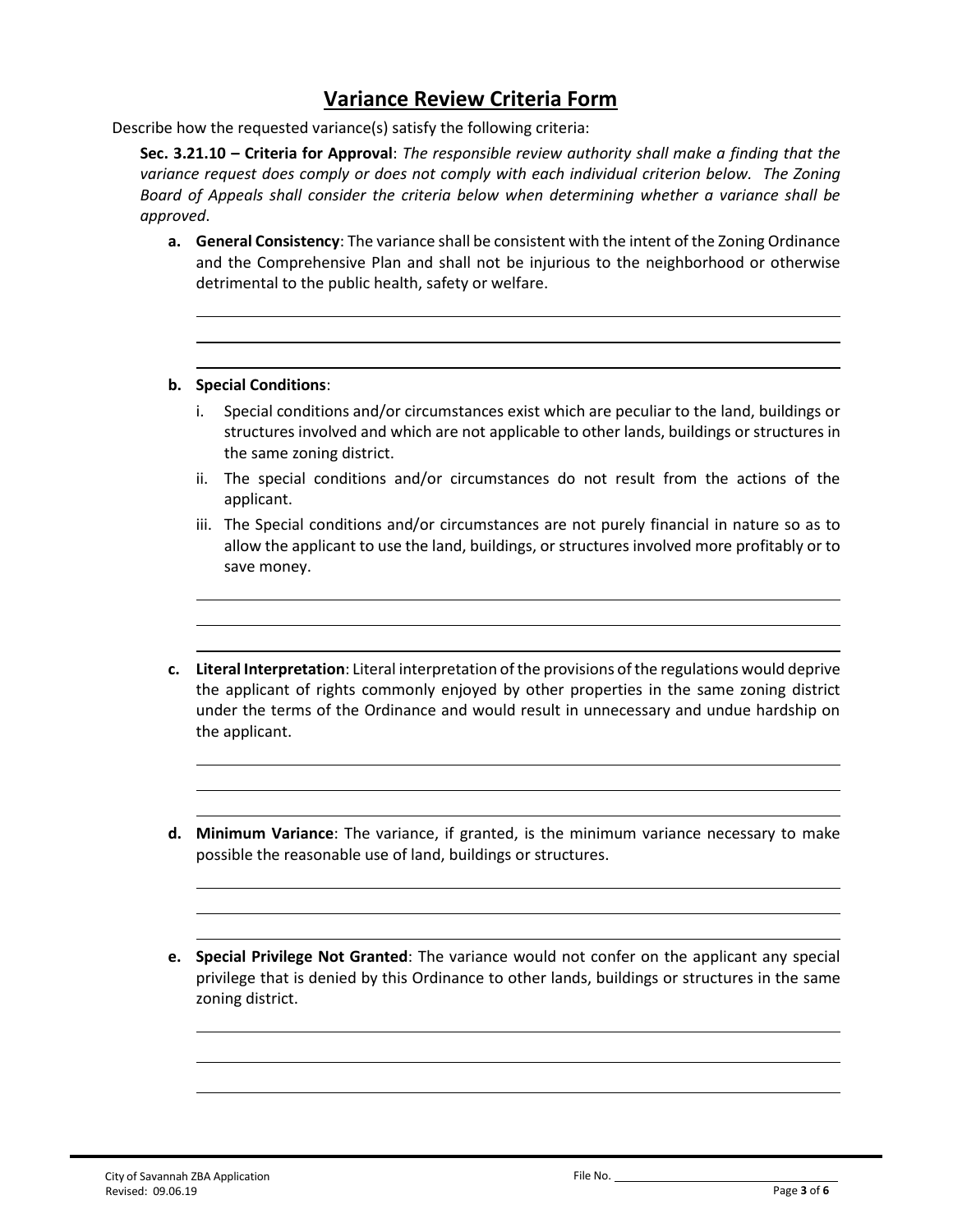# **Variance Review Criteria Form**

Describe how the requested variance(s) satisfy the following criteria:

**Sec. 3.21.10 – Criteria for Approval**: *The responsible review authority shall make a finding that the*  variance request does comply or does not comply with each individual criterion below. The Zoning *Board of Appeals shall consider the criteria below when determining whether a variance shall be approved*.

**a. General Consistency**: The variance shall be consistent with the intent of the Zoning Ordinance and the Comprehensive Plan and shall not be injurious to the neighborhood or otherwise detrimental to the public health, safety or welfare.

### **b. Special Conditions**:

- i. Special conditions and/or circumstances exist which are peculiar to the land, buildings or structures involved and which are not applicable to other lands, buildings or structures in the same zoning district.
- ii. The special conditions and/or circumstances do not result from the actions of the applicant.
- iii. The Special conditions and/or circumstances are not purely financial in nature so as to allow the applicant to use the land, buildings, or structures involved more profitably or to save money.
- **c. Literal Interpretation**: Literal interpretation of the provisions of the regulations would deprive the applicant of rights commonly enjoyed by other properties in the same zoning district under the terms of the Ordinance and would result in unnecessary and undue hardship on the applicant.
- **d. Minimum Variance**: The variance, if granted, is the minimum variance necessary to make possible the reasonable use of land, buildings or structures.
- **e. Special Privilege Not Granted**: The variance would not confer on the applicant any special privilege that is denied by this Ordinance to other lands, buildings or structures in the same zoning district.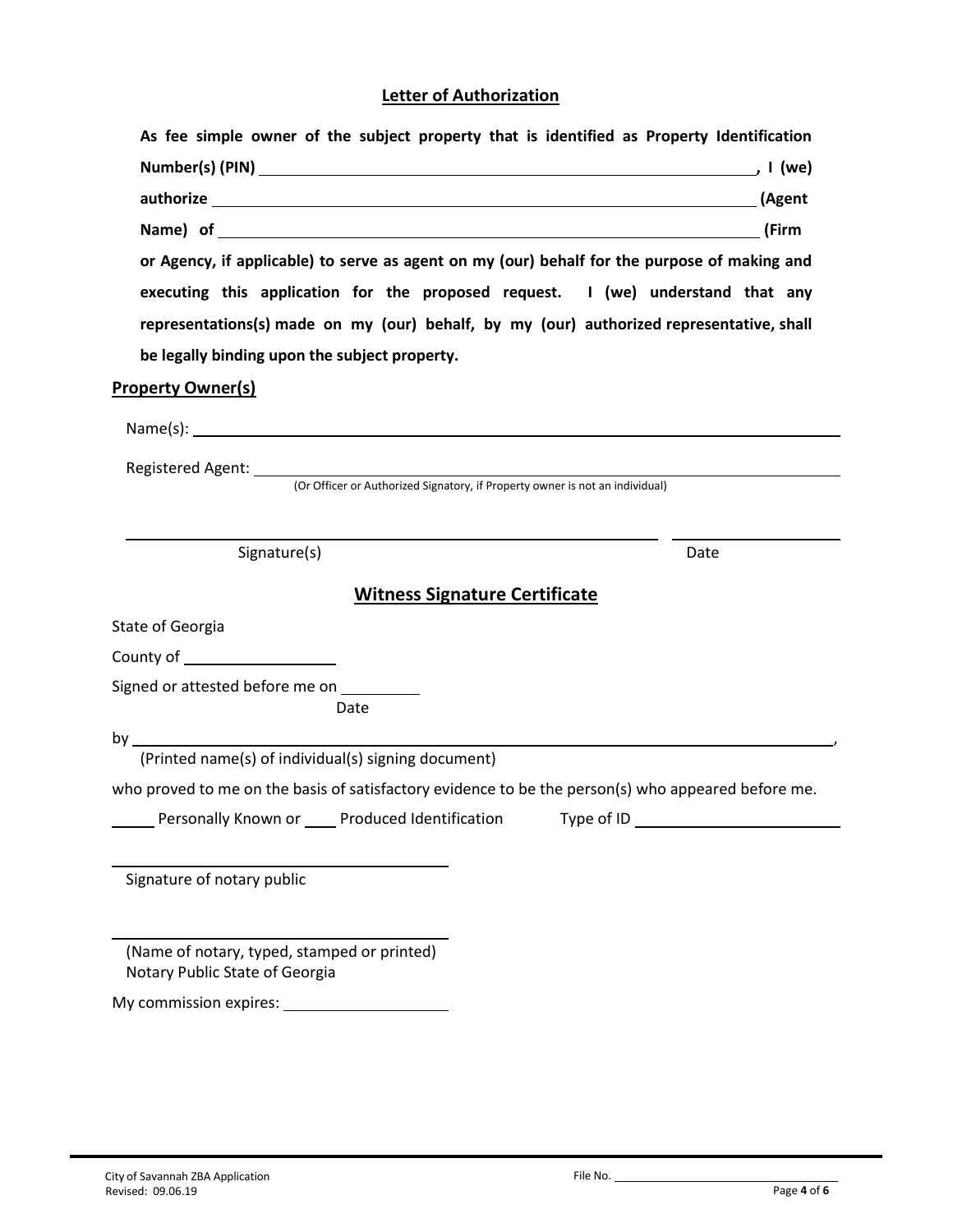## **Letter of Authorization**

| As fee simple owner of the subject property that is identified as Property Identification          |                                                                                              |  |  |  |  |
|----------------------------------------------------------------------------------------------------|----------------------------------------------------------------------------------------------|--|--|--|--|
|                                                                                                    |                                                                                              |  |  |  |  |
|                                                                                                    |                                                                                              |  |  |  |  |
|                                                                                                    |                                                                                              |  |  |  |  |
|                                                                                                    | or Agency, if applicable) to serve as agent on my (our) behalf for the purpose of making and |  |  |  |  |
| executing this application for the proposed request. I (we) understand that any                    |                                                                                              |  |  |  |  |
| representations(s) made on my (our) behalf, by my (our) authorized representative, shall           |                                                                                              |  |  |  |  |
| be legally binding upon the subject property.                                                      |                                                                                              |  |  |  |  |
| <b>Property Owner(s)</b>                                                                           |                                                                                              |  |  |  |  |
|                                                                                                    |                                                                                              |  |  |  |  |
|                                                                                                    |                                                                                              |  |  |  |  |
| (Or Officer or Authorized Signatory, if Property owner is not an individual)                       |                                                                                              |  |  |  |  |
|                                                                                                    |                                                                                              |  |  |  |  |
| Signature(s)                                                                                       | Date                                                                                         |  |  |  |  |
|                                                                                                    |                                                                                              |  |  |  |  |
| <b>Witness Signature Certificate</b>                                                               |                                                                                              |  |  |  |  |
| State of Georgia                                                                                   |                                                                                              |  |  |  |  |
| County of _____________________                                                                    |                                                                                              |  |  |  |  |
| Signed or attested before me on __________                                                         |                                                                                              |  |  |  |  |
| Date                                                                                               |                                                                                              |  |  |  |  |
| (Printed name(s) of individual(s) signing document)                                                |                                                                                              |  |  |  |  |
| who proved to me on the basis of satisfactory evidence to be the person(s) who appeared before me. |                                                                                              |  |  |  |  |
| Personally Known or _____ Produced Identification<br>Type of ID                                    |                                                                                              |  |  |  |  |
|                                                                                                    |                                                                                              |  |  |  |  |
| Signature of notary public                                                                         |                                                                                              |  |  |  |  |
|                                                                                                    |                                                                                              |  |  |  |  |
|                                                                                                    |                                                                                              |  |  |  |  |
| (Name of notary, typed, stamped or printed)<br>Notary Public State of Georgia                      |                                                                                              |  |  |  |  |
| My commission expires:                                                                             |                                                                                              |  |  |  |  |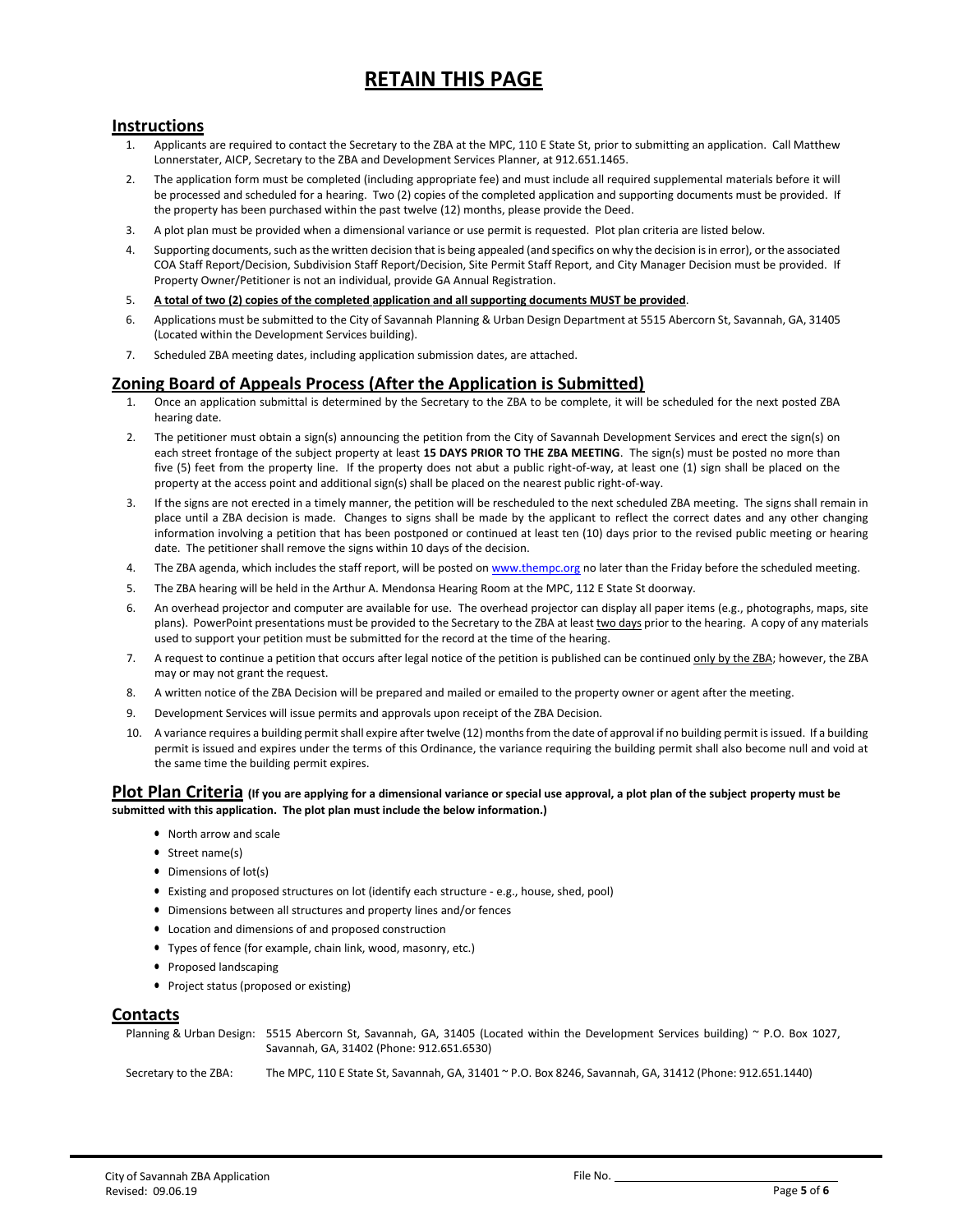# **RETAIN THIS PAGE**

### **Instructions**

- 1. Applicants are required to contact the Secretary to the ZBA at the MPC, 110 E State St, prior to submitting an application. Call Matthew Lonnerstater, AICP, Secretary to the ZBA and Development Services Planner, at 912.651.1465.
- 2. The application form must be completed (including appropriate fee) and must include all required supplemental materials before it will be processed and scheduled for a hearing. Two (2) copies of the completed application and supporting documents must be provided. If the property has been purchased within the past twelve (12) months, please provide the Deed.
- 3. A plot plan must be provided when a dimensional variance or use permit is requested. Plot plan criteria are listed below.
- 4. Supporting documents, such as the written decision that is being appealed (and specifics on why the decision is in error), or the associated COA Staff Report/Decision, Subdivision Staff Report/Decision, Site Permit Staff Report, and City Manager Decision must be provided. If Property Owner/Petitioner is not an individual, provide GA Annual Registration.
- 5. **A total of two (2) copies of the completed application and all supporting documents MUST be provided**.
- 6. Applications must be submitted to the City of Savannah Planning & Urban Design Department at 5515 Abercorn St, Savannah, GA, 31405 (Located within the Development Services building).
- 7. Scheduled ZBA meeting dates, including application submission dates, are attached.

#### **Zoning Board of Appeals Process (After the Application is Submitted)**

- 1. Once an application submittal is determined by the Secretary to the ZBA to be complete, it will be scheduled for the next posted ZBA hearing date.
- 2. The petitioner must obtain a sign(s) announcing the petition from the City of Savannah Development Services and erect the sign(s) on each street frontage of the subject property at least **15 DAYS PRIOR TO THE ZBA MEETING**. The sign(s) must be posted no more than five (5) feet from the property line. If the property does not abut a public right-of-way, at least one (1) sign shall be placed on the property at the access point and additional sign(s) shall be placed on the nearest public right-of-way.
- 3. If the signs are not erected in a timely manner, the petition will be rescheduled to the next scheduled ZBA meeting. The signs shall remain in place until a ZBA decision is made. Changes to signs shall be made by the applicant to reflect the correct dates and any other changing information involving a petition that has been postponed or continued at least ten (10) days prior to the revised public meeting or hearing date. The petitioner shall remove the signs within 10 days of the decision.
- 4. The ZBA agenda, which includes the staff report, will be posted o[n www.thempc.org](http://www.thempc.org/) no later than the Friday before the scheduled meeting.
- 5. The ZBA hearing will be held in the Arthur A. Mendonsa Hearing Room at the MPC, 112 E State St doorway.
- 6. An overhead projector and computer are available for use. The overhead projector can display all paper items (e.g., photographs, maps, site plans). PowerPoint presentations must be provided to the Secretary to the ZBA at least two days prior to the hearing. A copy of any materials used to support your petition must be submitted for the record at the time of the hearing.
- 7. A request to continue a petition that occurs after legal notice of the petition is published can be continued only by the ZBA; however, the ZBA may or may not grant the request.
- 8. A written notice of the ZBA Decision will be prepared and mailed or emailed to the property owner or agent after the meeting.
- 9. Development Services will issue permits and approvals upon receipt of the ZBA Decision.
- 10. A variance requires a building permit shall expire after twelve (12) months from the date of approval if no building permit is issued. If a building permit is issued and expires under the terms of this Ordinance, the variance requiring the building permit shall also become null and void at the same time the building permit expires.

#### **Plot Plan Criteria (If you are applying for a dimensional variance or special use approval, a plot plan of the subject property must be submitted with this application. The plot plan must include the below information.)**

- North arrow and scale
- Street name(s)
- Dimensions of lot(s)
- Existing and proposed structures on lot (identify each structure e.g., house, shed, pool)
- Dimensions between all structures and property lines and/or fences
- Location and dimensions of and proposed construction
- Types of fence (for example, chain link, wood, masonry, etc.)
- Proposed landscaping
- Project status (proposed or existing)

#### **Contacts**

Planning & Urban Design: 5515 Abercorn St, Savannah, GA, 31405 (Located within the Development Services building) ~ P.O. Box 1027, Savannah, GA, 31402 (Phone: 912.651.6530)

Secretary to the ZBA: The MPC, 110 E State St, Savannah, GA, 31401 ~ P.O. Box 8246, Savannah, GA, 31412 (Phone: 912.651.1440)